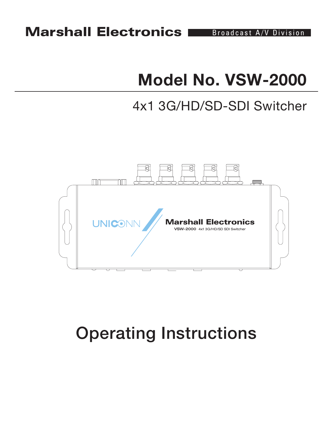# **Model No. VSW-2000**

## 4x1 3G/HD/SD-SDI Switcher



# Operating Instructions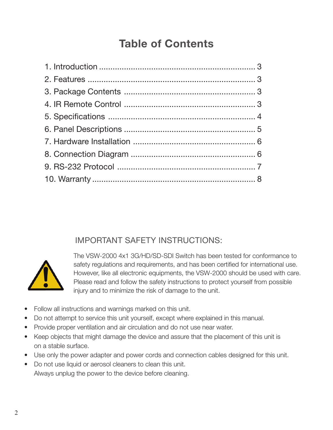### **Table of Contents**

### IMPORTANT SAFETY INSTRUCTIONS:



The VSW-2000 4x1 3G/HD/SD-SDI Switch has been tested for conformance to safety regulations and requirements, and has been certified for international use. However, like all electronic equipments, the VSW-2000 should be used with care. Please read and follow the safety instructions to protect yourself from possible injury and to minimize the risk of damage to the unit.

- Follow all instructions and warnings marked on this unit.
- Do not attempt to service this unit yourself, except where explained in this manual.
- Provide proper ventilation and air circulation and do not use near water.
- Keep objects that might damage the device and assure that the placement of this unit is on a stable surface.
- Use only the power adapter and power cords and connection cables designed for this unit.
- Do not use liquid or aerosol cleaners to clean this unit. Always unplug the power to the device before cleaning.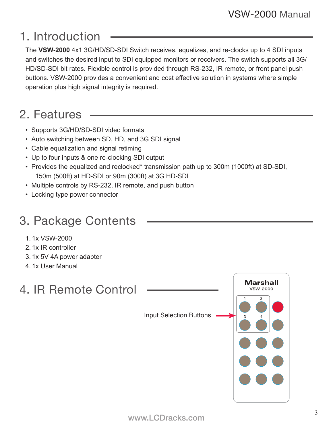## 1. Introduction

The **VSW-2000** 4x1 3G/HD/SD-SDI Switch receives, equalizes, and re-clocks up to 4 SDI inputs and switches the desired input to SDI equipped monitors or receivers. The switch supports all 3G/ HD/SD-SDI bit rates. Flexible control is provided through RS-232, IR remote, or front panel push buttons. VSW-2000 provides a convenient and cost effective solution in systems where simple operation plus high signal integrity is required.

## 2. Features

- Supports 3G/HD/SD-SDI video formats
- Auto switching between SD, HD, and 3G SDI signal
- Cable equalization and signal retiming
- Up to four inputs & one re-clocking SDI output
- Provides the equalized and reclocked\* transmission path up to 300m (1000ft) at SD-SDI, 150m (500ft) at HD-SDI or 90m (300ft) at 3G HD-SDI
- Multiple controls by RS-232, IR remote, and push button
- Locking type power connector

## 3. Package Contents

- 1. 1x VSW-2000
- 2. 1x IR controller
- 3. 1x 5V 4A power adapter
- 4. 1x User Manual

## 4. IR Remote Control

**Marshall VSW-2000** Input Selection Buttons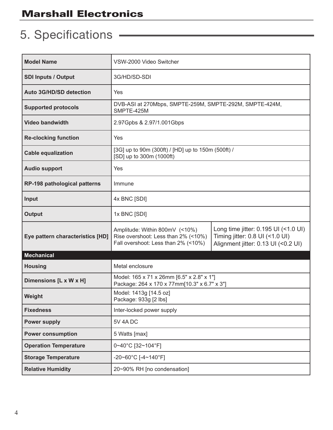## 5. Specifications

| <b>Model Name</b>                | VSW-2000 Video Switcher                                                                                      |                                                                                                                |  |
|----------------------------------|--------------------------------------------------------------------------------------------------------------|----------------------------------------------------------------------------------------------------------------|--|
| <b>SDI Inputs / Output</b>       | 3G/HD/SD-SDI                                                                                                 |                                                                                                                |  |
| <b>Auto 3G/HD/SD detection</b>   | Yes                                                                                                          |                                                                                                                |  |
| <b>Supported protocols</b>       | DVB-ASI at 270Mbps, SMPTE-259M, SMPTE-292M, SMPTE-424M,<br>SMPTE-425M                                        |                                                                                                                |  |
| <b>Video bandwidth</b>           | 2.97Gpbs & 2.97/1.001Gbps                                                                                    |                                                                                                                |  |
| <b>Re-clocking function</b>      | Yes                                                                                                          |                                                                                                                |  |
| <b>Cable equalization</b>        | [3G] up to 90m (300ft) / [HD] up to 150m (500ft) /<br>[SD] up to 300m (1000ft)                               |                                                                                                                |  |
| <b>Audio support</b>             | Yes                                                                                                          |                                                                                                                |  |
| RP-198 pathological patterns     | Immune                                                                                                       |                                                                                                                |  |
| Input                            | 4x BNC [SDI]                                                                                                 |                                                                                                                |  |
| <b>Output</b>                    | 1x BNC [SDI]                                                                                                 |                                                                                                                |  |
| Eye pattern characteristics [HD] | Amplitude: Within 800mV (<10%)<br>Rise overshoot: Less than 2% (<10%)<br>Fall overshoot: Less than 2% (<10%) | Long time jitter: 0.195 UI (<1.0 UI)<br>Timing jitter: 0.8 UI (<1.0 UI)<br>Alignment jitter: 0.13 UI (<0.2 UI) |  |
| <b>Mechanical</b>                |                                                                                                              |                                                                                                                |  |
| <b>Housing</b>                   | Metal enclosure                                                                                              |                                                                                                                |  |
| Dimensions [L x W x H]           | Model: 165 x 71 x 26mm [6.5" x 2.8" x 1"]<br>Package: 264 x 170 x 77mm[10.3" x 6.7" x 3"]                    |                                                                                                                |  |
| Weight                           | Model: 1413g [14.5 oz]<br>Package: 933g [2 lbs]                                                              |                                                                                                                |  |
| <b>Fixedness</b>                 | Inter-locked power supply                                                                                    |                                                                                                                |  |
| <b>Power supply</b>              | 5V 4A DC                                                                                                     |                                                                                                                |  |
| <b>Power consumption</b>         | 5 Watts [max]                                                                                                |                                                                                                                |  |
| <b>Operation Temperature</b>     | 0~40°C [32~104°F]                                                                                            |                                                                                                                |  |
| <b>Storage Temperature</b>       | $-20 - 60^{\circ}$ C [ $-4 - 140^{\circ}$ F]                                                                 |                                                                                                                |  |
| <b>Relative Humidity</b>         | 20~90% RH [no condensation]                                                                                  |                                                                                                                |  |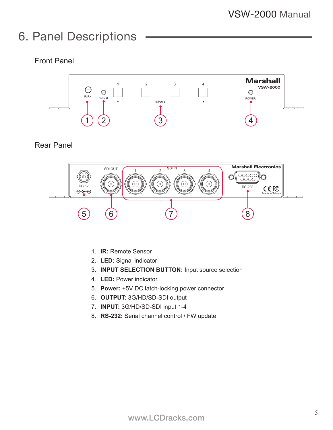### 6. Panel Descriptions

#### Front Panel



Rear Panel



- 1. **IR:** Remote Sensor
- 2. **LED:** Signal indicator
- 3. **INPUT SELECTION BUTTON:** Input source selection
- 4. **LED:** Power indicator
- 5. **Power:** +5V DC latch-locking power connector
- 6. **OUTPUT:** 3G/HD/SD-SDI output
- 7. **INPUT:** 3G/HD/SD-SDI input 1-4
- 8. **RS-232:** Serial channel control / FW update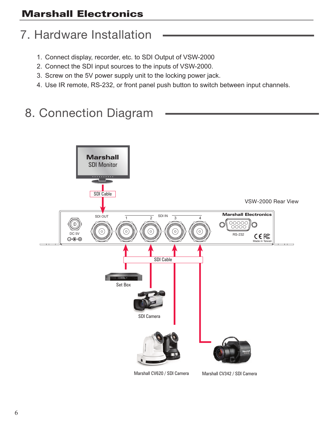## 7. Hardware Installation

- 1. Connect display, recorder, etc. to SDI Output of VSW-2000
- 2. Connect the SDI input sources to the inputs of VSW-2000.
- 3. Screw on the 5V power supply unit to the locking power jack.
- 4. Use IR remote, RS-232, or front panel push button to switch between input channels.

## 8. Connection Diagram

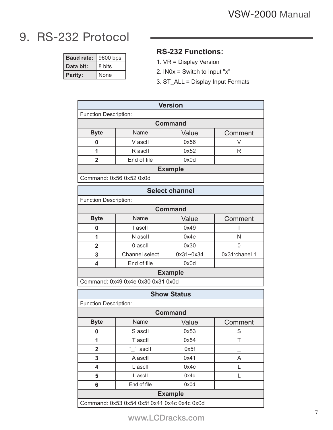٦

## 9. RS-232 Protocol

Г

| <b>Baud rate:</b> | 9600 bps |  |
|-------------------|----------|--|
| Data bit:         | 8 bits   |  |
| Parity:           | None     |  |

#### **RS-232 Functions:**

1. VR = Display Version

**Version**

- 2. IN0x = Switch to Input "x"
- 3. ST\_ALL = Display Input Formats

| version                                     |                                   |                    |               |  |  |
|---------------------------------------------|-----------------------------------|--------------------|---------------|--|--|
| <b>Function Description:</b>                |                                   |                    |               |  |  |
| <b>Command</b>                              |                                   |                    |               |  |  |
| <b>Byte</b>                                 | Name                              | Value              | Comment       |  |  |
| 0                                           | V ascll                           | 0x56               | V             |  |  |
| 1                                           | R ascll                           | 0x52               | R             |  |  |
| $\overline{2}$                              | End of file                       | 0x0d               |               |  |  |
| <b>Example</b>                              |                                   |                    |               |  |  |
| Command: 0x56 0x52 0x0d                     |                                   |                    |               |  |  |
| <b>Select channel</b>                       |                                   |                    |               |  |  |
| <b>Function Description:</b>                |                                   |                    |               |  |  |
| <b>Command</b>                              |                                   |                    |               |  |  |
| <b>Byte</b>                                 | Name                              | Value              | Comment       |  |  |
| 0                                           | I ascII                           | 0x49               | I             |  |  |
| $\overline{1}$                              | N ascll                           | 0x4e               | N             |  |  |
| $\overline{2}$                              | 0 ascll                           | 0x30               | 0             |  |  |
| 3                                           | Channel select                    | 0x31~0x34          | 0x31:chanel 1 |  |  |
| 4                                           | End of file                       | 0x0d               |               |  |  |
| <b>Example</b>                              |                                   |                    |               |  |  |
|                                             | Command: 0x49 0x4e 0x30 0x31 0x0d |                    |               |  |  |
|                                             |                                   | <b>Show Status</b> |               |  |  |
| <b>Function Description:</b>                |                                   |                    |               |  |  |
| <b>Command</b>                              |                                   |                    |               |  |  |
| <b>Byte</b>                                 | Name                              | Value              | Comment       |  |  |
| 0                                           | S ascll                           | 0x53               | S             |  |  |
| 1                                           | T ascll                           | 0x54               | T             |  |  |
| $\mathbf{z}$                                | (1, 3)<br>ascll                   | 0x5f               |               |  |  |
| 3                                           | A ascII                           | 0x41               | A             |  |  |
| 4                                           | L ascII                           | 0x4c               | L             |  |  |
| 5                                           | L ascII                           | 0x4c               | Г             |  |  |
| 6                                           | End of file                       | 0x0d               |               |  |  |
| <b>Example</b>                              |                                   |                    |               |  |  |
| Command: 0x53 0x54 0x5f 0x41 0x4c 0x4c 0x0d |                                   |                    |               |  |  |